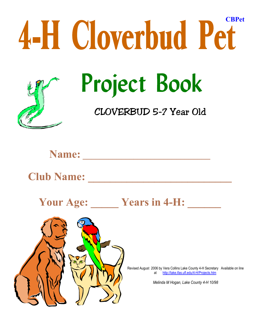

**Name: \_\_\_\_\_\_\_\_\_\_\_\_\_\_\_\_\_\_\_\_\_\_\_\_\_\_\_\_\_\_**

**Club Name: \_\_\_\_\_\_\_\_\_\_\_\_\_\_\_\_\_\_\_\_\_\_\_\_\_\_**

Your Age: <u>Wears in 4-H:</u>



Revised August 2006 by Vera Collins Lake County 4-H Secretary Available on line at http://lake.ifas.ufl.edu/4-H/Projects.htm

*Melinda M Hogan, Lake County 4-H 10/98*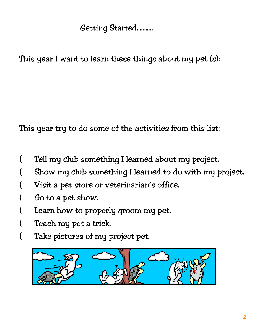## Getting Started...........

This year I want to learn these things about my pet (s):

 $\mathcal{L}_\mathcal{L} = \mathcal{L}_\mathcal{L} = \mathcal{L}_\mathcal{L} = \mathcal{L}_\mathcal{L} = \mathcal{L}_\mathcal{L} = \mathcal{L}_\mathcal{L} = \mathcal{L}_\mathcal{L} = \mathcal{L}_\mathcal{L} = \mathcal{L}_\mathcal{L} = \mathcal{L}_\mathcal{L} = \mathcal{L}_\mathcal{L} = \mathcal{L}_\mathcal{L} = \mathcal{L}_\mathcal{L} = \mathcal{L}_\mathcal{L} = \mathcal{L}_\mathcal{L} = \mathcal{L}_\mathcal{L} = \mathcal{L}_\mathcal{L}$ 

 $\mathcal{L}_\text{max}$  and  $\mathcal{L}_\text{max}$  and  $\mathcal{L}_\text{max}$  and  $\mathcal{L}_\text{max}$  and  $\mathcal{L}_\text{max}$  and  $\mathcal{L}_\text{max}$ 

 $\mathcal{L}_\mathcal{L} = \mathcal{L}_\mathcal{L} = \mathcal{L}_\mathcal{L} = \mathcal{L}_\mathcal{L} = \mathcal{L}_\mathcal{L} = \mathcal{L}_\mathcal{L} = \mathcal{L}_\mathcal{L} = \mathcal{L}_\mathcal{L} = \mathcal{L}_\mathcal{L} = \mathcal{L}_\mathcal{L} = \mathcal{L}_\mathcal{L} = \mathcal{L}_\mathcal{L} = \mathcal{L}_\mathcal{L} = \mathcal{L}_\mathcal{L} = \mathcal{L}_\mathcal{L} = \mathcal{L}_\mathcal{L} = \mathcal{L}_\mathcal{L}$ 

This year try to do some of the activities from this list:

- ( Tell my club something I learned about my project.
- Show my club something I learned to do with my project.
- Visit a pet store or veterinarian's office.
- Go to a pet show.
- Learn how to properly groom my pet.
- Teach my pet a trick.
- ( Take pictures of my project pet.

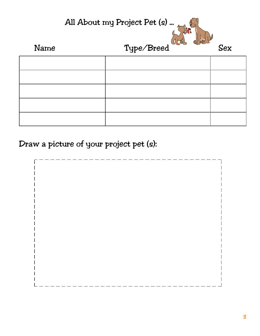

Draw a picture of your project pet (s):

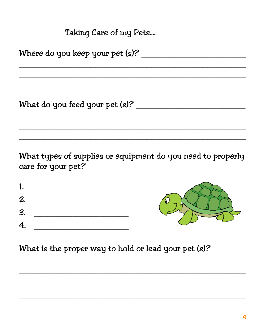Taking Care of my Pets....

What types of supplies or equipment do you need to properly care for your pet?

| 1  |  |
|----|--|
| 2. |  |
| 3. |  |
| 4. |  |



What is the proper way to hold or lead your pet (s)?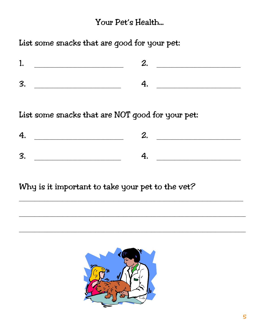### Your Pet's Health...

List some snacks that are good for your pet:

| ╭ |  |
|---|--|

List some snacks that are NOT good for your pet:

| <b>E</b> |  |
|----------|--|

Why is it important to take your pet to the vet?

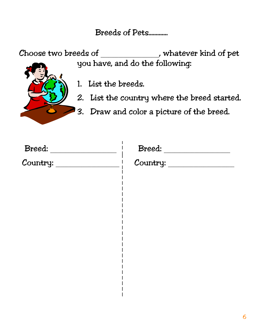### Breeds of Pets.............

Choose two breeds of \_\_\_\_\_\_\_\_\_\_\_\_\_\_\_\_\_\_\_\_\_\_\_, whatever kind of pet you have, and do the following:



- 1. List the breeds.
- 2. List the country where the breed started.
- 3. Draw and color a picture of the breed.

| Breed:   | Breed:   |  |  |  |
|----------|----------|--|--|--|
| Country: | Country: |  |  |  |
|          |          |  |  |  |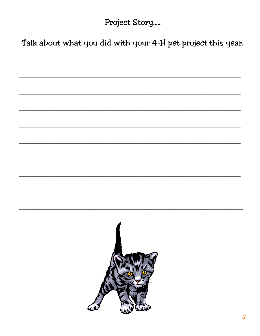Project Story.....

Talk about what you did with your 4-H pet project this year.

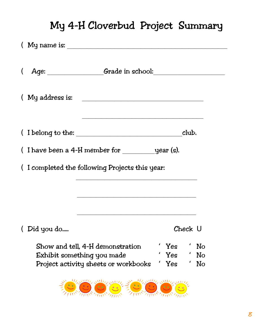# My 4-H Cloverbud Project Summary

|                                                | $(My$ name is:                                                           |  |                   |         |                |  |
|------------------------------------------------|--------------------------------------------------------------------------|--|-------------------|---------|----------------|--|
|                                                | (Age: <u>Crade in school:</u> Crade in school:                           |  |                   |         |                |  |
|                                                |                                                                          |  |                   |         |                |  |
|                                                |                                                                          |  |                   | club.   |                |  |
|                                                | (I have been a 4-H member for $\_\_\_\_\_$ year (s).                     |  |                   |         |                |  |
| (I completed the following Projects this year: |                                                                          |  |                   |         |                |  |
|                                                |                                                                          |  |                   |         |                |  |
| (Did you do                                    |                                                                          |  |                   | Check U |                |  |
| Exhibit something you made                     | Show and tell, 4-H demonstration<br>Project activity sheets or workbooks |  | Yes<br>Yes<br>Yes |         | No<br>No<br>No |  |

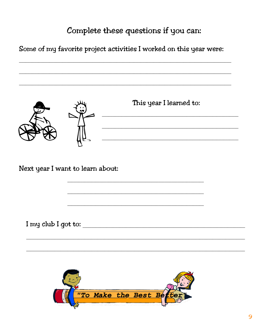## Complete these questions if you can:

Some of my favorite project activities I worked on this year were:

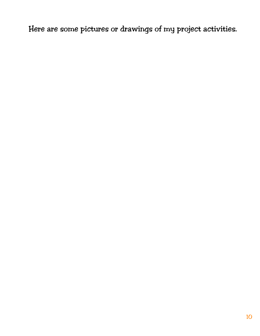Here are some pictures or drawings of my project activities.